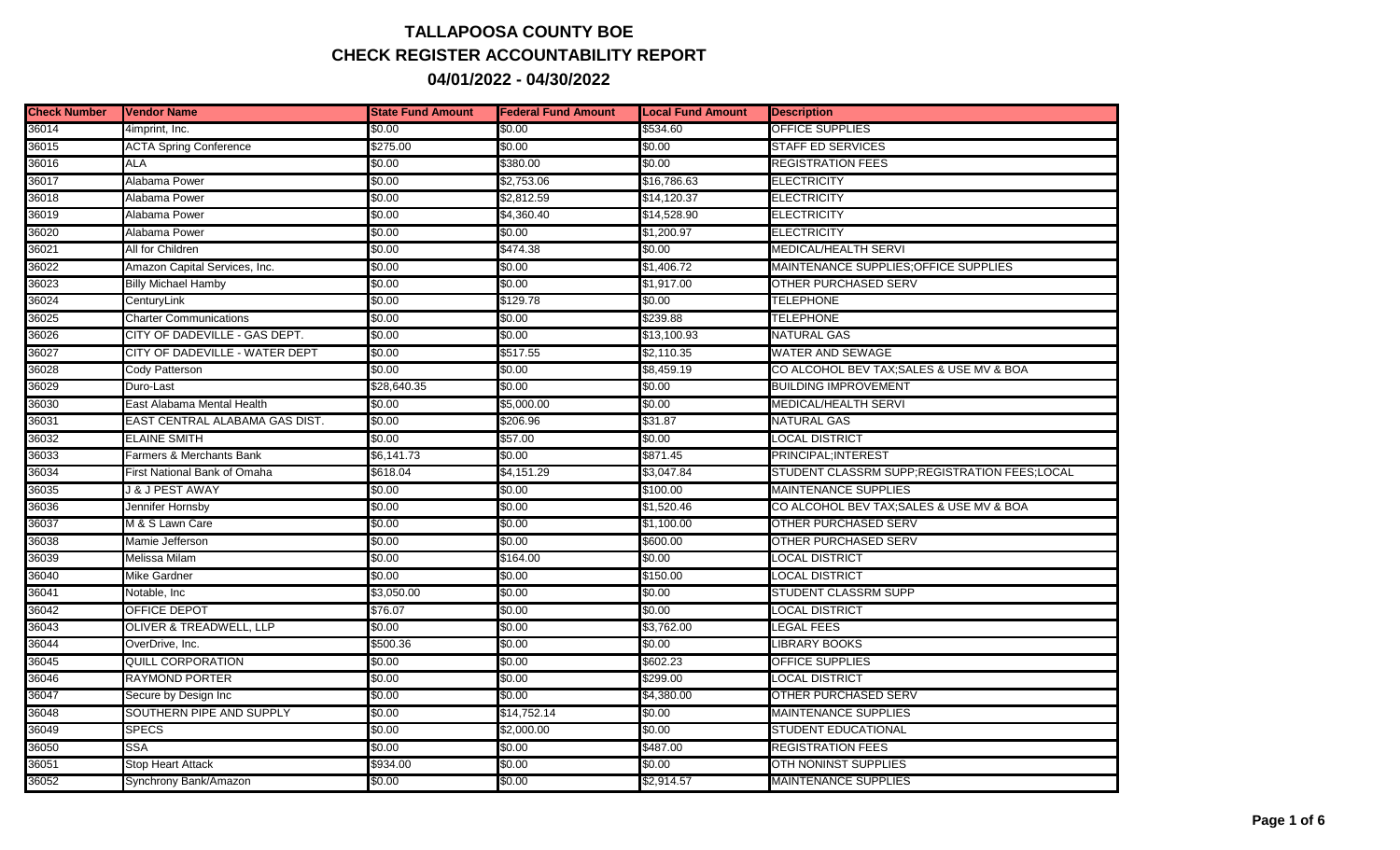## **TALLAPOOSA COUNTY BOE CHECK REGISTER ACCOUNTABILITY REPORT 04/01/2022 - 04/30/2022**

| <b>Check Number</b> | <b>Vendor Name</b>             | <b>State Fund Amount</b> | <b>Federal Fund Amount</b> | <b>Local Fund Amount</b> | <b>Description</b>                           |
|---------------------|--------------------------------|--------------------------|----------------------------|--------------------------|----------------------------------------------|
| 36014               | 4imprint, Inc.                 | \$0.00                   | \$0.00                     | \$534.60                 | OFFICE SUPPLIES                              |
| 36015               | <b>ACTA Spring Conference</b>  | \$275.00                 | \$0.00                     | \$0.00                   | <b>STAFF ED SERVICES</b>                     |
| 36016               | <b>ALA</b>                     | \$0.00                   | \$380.00                   | \$0.00                   | <b>REGISTRATION FEES</b>                     |
| 36017               | Alabama Power                  | \$0.00                   | \$2,753.06                 | \$16,786.63              | ELECTRICITY                                  |
| 36018               | Alabama Power                  | \$0.00                   | \$2,812.59                 | \$14,120.37              | ELECTRICITY                                  |
| 36019               | Alabama Power                  | \$0.00                   | \$4,360.40                 | \$14,528.90              | ELECTRICITY                                  |
| 36020               | Alabama Power                  | \$0.00                   | \$0.00                     | \$1,200.97               | ELECTRICITY                                  |
| 36021               | All for Children               | \$0.00                   | \$474.38                   | \$0.00                   | MEDICAL/HEALTH SERVI                         |
| 36022               | Amazon Capital Services, Inc.  | \$0.00                   | \$0.00                     | \$1,406.72               | MAINTENANCE SUPPLIES: OF FICE SUPPLIES       |
| 36023               | <b>Billy Michael Hamby</b>     | \$0.00                   | \$0.00                     | \$1,917.00               | OTHER PURCHASED SERV                         |
| 36024               | CenturyLink                    | \$0.00                   | \$129.78                   | \$0.00                   | <b>TELEPHONE</b>                             |
| 36025               | <b>Charter Communications</b>  | \$0.00                   | \$0.00                     | \$239.88                 | <b>TELEPHONE</b>                             |
| 36026               | CITY OF DADEVILLE - GAS DEPT.  | \$0.00                   | \$0.00                     | \$13,100.93              | <b>NATURAL GAS</b>                           |
| 36027               | CITY OF DADEVILLE - WATER DEPT | \$0.00                   | \$517.55                   | \$2,110.35               | WATER AND SEWAGE                             |
| 36028               | Cody Patterson                 | \$0.00                   | \$0.00                     | \$8,459.19               | CO ALCOHOL BEV TAX; SALES & USE MV & BOA     |
| 36029               | Duro-Last                      | \$28,640.35              | \$0.00                     | \$0.00                   | <b>BUILDING IMPROVEMENT</b>                  |
| 36030               | East Alabama Mental Health     | \$0.00                   | \$5,000.00                 | \$0.00                   | MEDICAL/HEALTH SERVI                         |
| 36031               | EAST CENTRAL ALABAMA GAS DIST. | \$0.00                   | \$206.96                   | \$31.87                  | <b>NATURAL GAS</b>                           |
| 36032               | <b>ELAINE SMITH</b>            | \$0.00                   | \$57.00                    | \$0.00                   | LOCAL DISTRICT                               |
| 36033               | Farmers & Merchants Bank       | \$6,141.73               | \$0.00                     | \$871.45                 | PRINCIPAL:INTEREST                           |
| 36034               | First National Bank of Omaha   | \$618.04                 | \$4,151.29                 | \$3,047.84               | STUDENT CLASSRM SUPP;REGISTRATION FEES;LOCAL |
| 36035               | J & J PEST AWAY                | \$0.00                   | \$0.00                     | \$100.00                 | <b>MAINTENANCE SUPPLIES</b>                  |
| 36036               | Jennifer Hornsby               | \$0.00                   | \$0.00                     | \$1,520.46               | CO ALCOHOL BEV TAX;SALES & USE MV & BOA      |
| 36037               | M & S Lawn Care                | \$0.00                   | \$0.00                     | \$1,100.00               | OTHER PURCHASED SERV                         |
| 36038               | Mamie Jefferson                | \$0.00                   | \$0.00                     | \$600.00                 | <b>OTHER PURCHASED SERV</b>                  |
| 36039               | Melissa Milam                  | \$0.00                   | \$164.00                   | \$0.00                   | <b>LOCAL DISTRICT</b>                        |
| 36040               | <b>Mike Gardner</b>            | \$0.00                   | \$0.00                     | \$150.00                 | <b>LOCAL DISTRICT</b>                        |
| 36041               | Notable, Inc                   | \$3,050.00               | \$0.00                     | \$0.00                   | <b>STUDENT CLASSRM SUPP</b>                  |
| 36042               | OFFICE DEPOT                   | \$76.07                  | \$0.00                     | \$0.00                   | LOCAL DISTRICT                               |
| 36043               | OLIVER & TREADWELL, LLP        | \$0.00                   | \$0.00                     | \$3,762.00               | LEGAL FEES                                   |
| 36044               | OverDrive, Inc.                | \$500.36                 | \$0.00                     | \$0.00                   | LIBRARY BOOKS                                |
| 36045               | <b>QUILL CORPORATION</b>       | \$0.00                   | \$0.00                     | \$602.23                 | <b>OFFICE SUPPLIES</b>                       |
| 36046               | <b>RAYMOND PORTER</b>          | \$0.00                   | \$0.00                     | \$299.00                 | <b>LOCAL DISTRICT</b>                        |
| 36047               | Secure by Design Inc           | \$0.00                   | \$0.00                     | \$4,380.00               | OTHER PURCHASED SERV                         |
| 36048               | SOUTHERN PIPE AND SUPPLY       | \$0.00                   | \$14,752.14                | \$0.00                   | MAINTENANCE SUPPLIES                         |
| 36049               | <b>SPECS</b>                   | \$0.00                   | \$2,000.00                 | \$0.00                   | STUDENT EDUCATIONAL                          |
| 36050               | <b>SSA</b>                     | \$0.00                   | \$0.00                     | \$487.00                 | <b>REGISTRATION FEES</b>                     |
| 36051               | Stop Heart Attack              | \$934.00                 | \$0.00                     | \$0.00                   | <b>OTH NONINST SUPPLIES</b>                  |
| 36052               | Synchrony Bank/Amazon          | \$0.00                   | \$0.00                     | \$2,914.57               | <b>MAINTENANCE SUPPLIES</b>                  |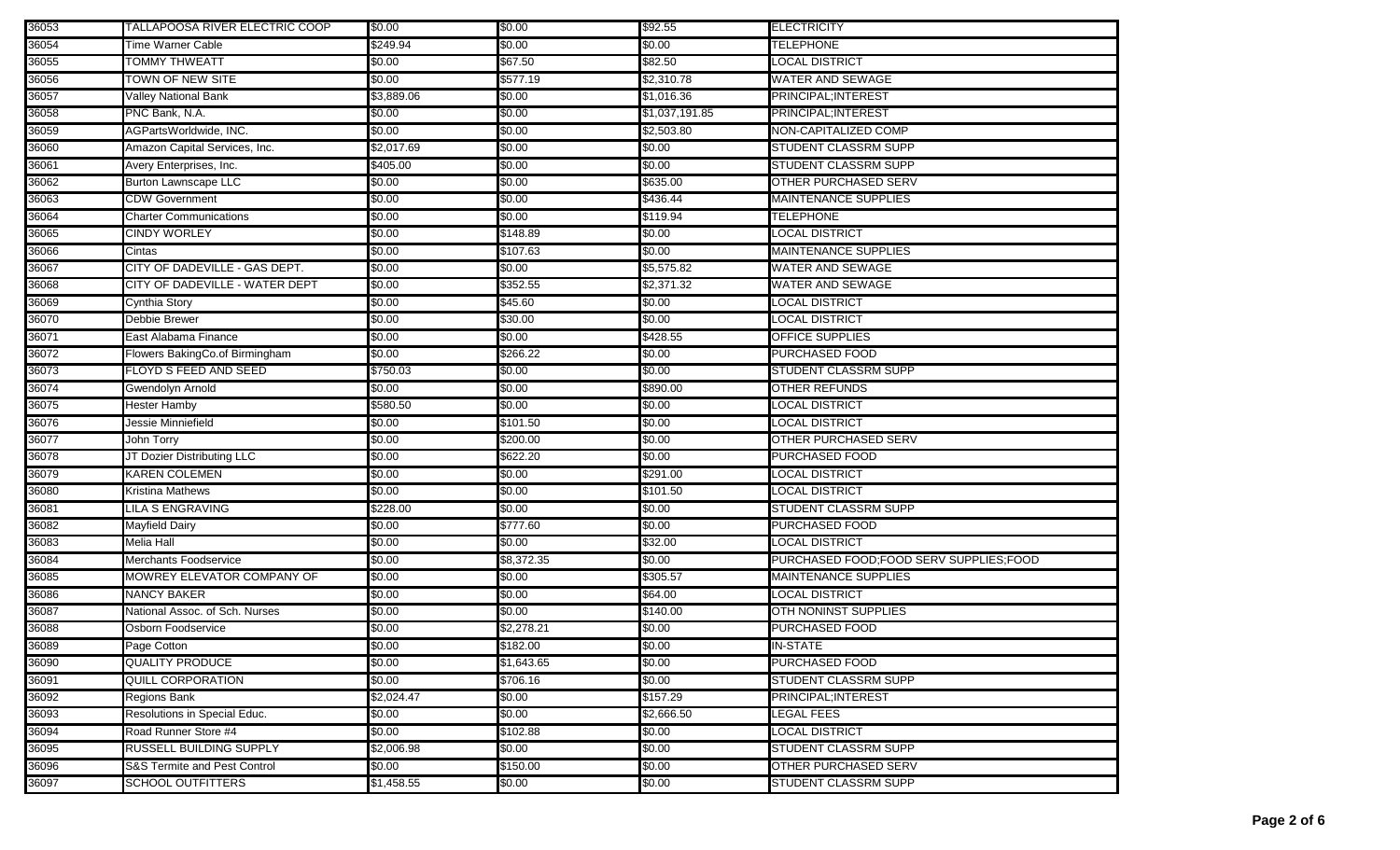| 36053 | TALLAPOOSA RIVER ELECTRIC COOP          | \$0.00     | \$0.00     | \$92.55        | <b>ELECTRICITY</b>                       |
|-------|-----------------------------------------|------------|------------|----------------|------------------------------------------|
| 36054 | Time Warner Cable                       | \$249.94   | \$0.00     | \$0.00         | <b>TELEPHONE</b>                         |
| 36055 | <b>TOMMY THWEATT</b>                    | \$0.00     | \$67.50    | \$82.50        | <b>LOCAL DISTRICT</b>                    |
| 36056 | TOWN OF NEW SITE                        | \$0.00     | \$577.19   | \$2,310.78     | <b>WATER AND SEWAGE</b>                  |
| 36057 | <b>Valley National Bank</b>             | \$3,889.06 | \$0.00     | \$1,016.36     | PRINCIPAL; INTEREST                      |
| 36058 | PNC Bank, N.A.                          | \$0.00     | \$0.00     | \$1,037,191.85 | PRINCIPAL; INTEREST                      |
| 36059 | AGPartsWorldwide, INC.                  | \$0.00     | \$0.00     | \$2,503.80     | NON-CAPITALIZED COMP                     |
| 36060 | Amazon Capital Services, Inc.           | \$2,017.69 | \$0.00     | \$0.00         | <b>STUDENT CLASSRM SUPP</b>              |
| 36061 | Avery Enterprises, Inc.                 | \$405.00   | \$0.00     | \$0.00         | <b>STUDENT CLASSRM SUPP</b>              |
| 36062 | <b>Burton Lawnscape LLC</b>             | \$0.00     | \$0.00     | \$635.00       | <b>OTHER PURCHASED SERV</b>              |
| 36063 | <b>CDW Government</b>                   | \$0.00     | \$0.00     | \$436.44       | <b>MAINTENANCE SUPPLIES</b>              |
| 36064 | <b>Charter Communications</b>           | \$0.00     | \$0.00     | \$119.94       | <b>TELEPHONE</b>                         |
| 36065 | <b>CINDY WORLEY</b>                     | \$0.00     | \$148.89   | \$0.00         | LOCAL DISTRICT                           |
| 36066 | Cintas                                  | \$0.00     | \$107.63   | \$0.00         | <b>MAINTENANCE SUPPLIES</b>              |
| 36067 | CITY OF DADEVILLE - GAS DEPT.           | \$0.00     | \$0.00     | \$5,575.82     | <b>WATER AND SEWAGE</b>                  |
| 36068 | CITY OF DADEVILLE - WATER DEPT          | \$0.00     | \$352.55   | \$2,371.32     | WATER AND SEWAGE                         |
| 36069 | Cynthia Story                           | \$0.00     | \$45.60    | \$0.00         | LOCAL DISTRICT                           |
| 36070 | Debbie Brewer                           | \$0.00     | \$30.00    | \$0.00         | LOCAL DISTRICT                           |
| 36071 | East Alabama Finance                    | \$0.00     | \$0.00     | \$428.55       | <b>OFFICE SUPPLIES</b>                   |
| 36072 | Flowers BakingCo.of Birmingham          | \$0.00     | \$266.22   | \$0.00         | PURCHASED FOOD                           |
| 36073 | <b>FLOYD S FEED AND SEED</b>            | \$750.03   | \$0.00     | \$0.00         | <b>STUDENT CLASSRM SUPP</b>              |
| 36074 | Gwendolyn Arnold                        | \$0.00     | \$0.00     | \$890.00       | <b>OTHER REFUNDS</b>                     |
| 36075 | Hester Hamby                            | \$580.50   | \$0.00     | \$0.00         | LOCAL DISTRICT                           |
| 36076 | Jessie Minniefield                      | \$0.00     | \$101.50   | \$0.00         | <b>LOCAL DISTRICT</b>                    |
| 36077 | John Torry                              | \$0.00     | \$200.00   | \$0.00         | <b>OTHER PURCHASED SERV</b>              |
| 36078 | JT Dozier Distributing LLC              | \$0.00     | \$622.20   | \$0.00         | <b>PURCHASED FOOD</b>                    |
| 36079 | <b>KAREN COLEMEN</b>                    | \$0.00     | \$0.00     | \$291.00       | <b>LOCAL DISTRICT</b>                    |
| 36080 | <b>Kristina Mathews</b>                 | \$0.00     | \$0.00     | \$101.50       | <b>LOCAL DISTRICT</b>                    |
| 36081 | <b>LILA S ENGRAVING</b>                 | \$228.00   | \$0.00     | \$0.00         | <b>STUDENT CLASSRM SUPP</b>              |
| 36082 | Mayfield Dairy                          | \$0.00     | \$777.60   | \$0.00         | PURCHASED FOOD                           |
| 36083 | Melia Hall                              | \$0.00     | \$0.00     | \$32.00        | <b>LOCAL DISTRICT</b>                    |
| 36084 | Merchants Foodservice                   | \$0.00     | \$8,372.35 | \$0.00         | PURCHASED FOOD; FOOD SERV SUPPLIES; FOOD |
| 36085 | MOWREY ELEVATOR COMPANY OF              | \$0.00     | \$0.00     | \$305.57       | <b>MAINTENANCE SUPPLIES</b>              |
| 36086 | <b>NANCY BAKER</b>                      | \$0.00     | \$0.00     | \$64.00        | LOCAL DISTRICT                           |
| 36087 | National Assoc. of Sch. Nurses          | \$0.00     | \$0.00     | \$140.00       | OTH NONINST SUPPLIES                     |
| 36088 | Osborn Foodservice                      | \$0.00     | \$2,278.21 | \$0.00         | <b>PURCHASED FOOD</b>                    |
| 36089 | Page Cotton                             | \$0.00     | \$182.00   | \$0.00         | IN-STATE                                 |
| 36090 | <b>QUALITY PRODUCE</b>                  | \$0.00     | \$1,643.65 | \$0.00         | PURCHASED FOOD                           |
| 36091 | <b>QUILL CORPORATION</b>                | \$0.00     | \$706.16   | \$0.00         | <b>STUDENT CLASSRM SUPP</b>              |
| 36092 | Regions Bank                            | \$2,024.47 | \$0.00     | \$157.29       | PRINCIPAL; INTEREST                      |
| 36093 | Resolutions in Special Educ.            | \$0.00     | \$0.00     | \$2,666.50     | <b>LEGAL FEES</b>                        |
| 36094 | Road Runner Store #4                    | \$0.00     | \$102.88   | \$0.00         | <b>LOCAL DISTRICT</b>                    |
| 36095 | <b>RUSSELL BUILDING SUPPLY</b>          | \$2,006.98 | \$0.00     | \$0.00         | <b>STUDENT CLASSRM SUPP</b>              |
| 36096 | <b>S&amp;S Termite and Pest Control</b> | \$0.00     | \$150.00   | \$0.00         | OTHER PURCHASED SERV                     |
| 36097 | <b>SCHOOL OUTFITTERS</b>                | \$1,458.55 | \$0.00     | \$0.00         | <b>STUDENT CLASSRM SUPP</b>              |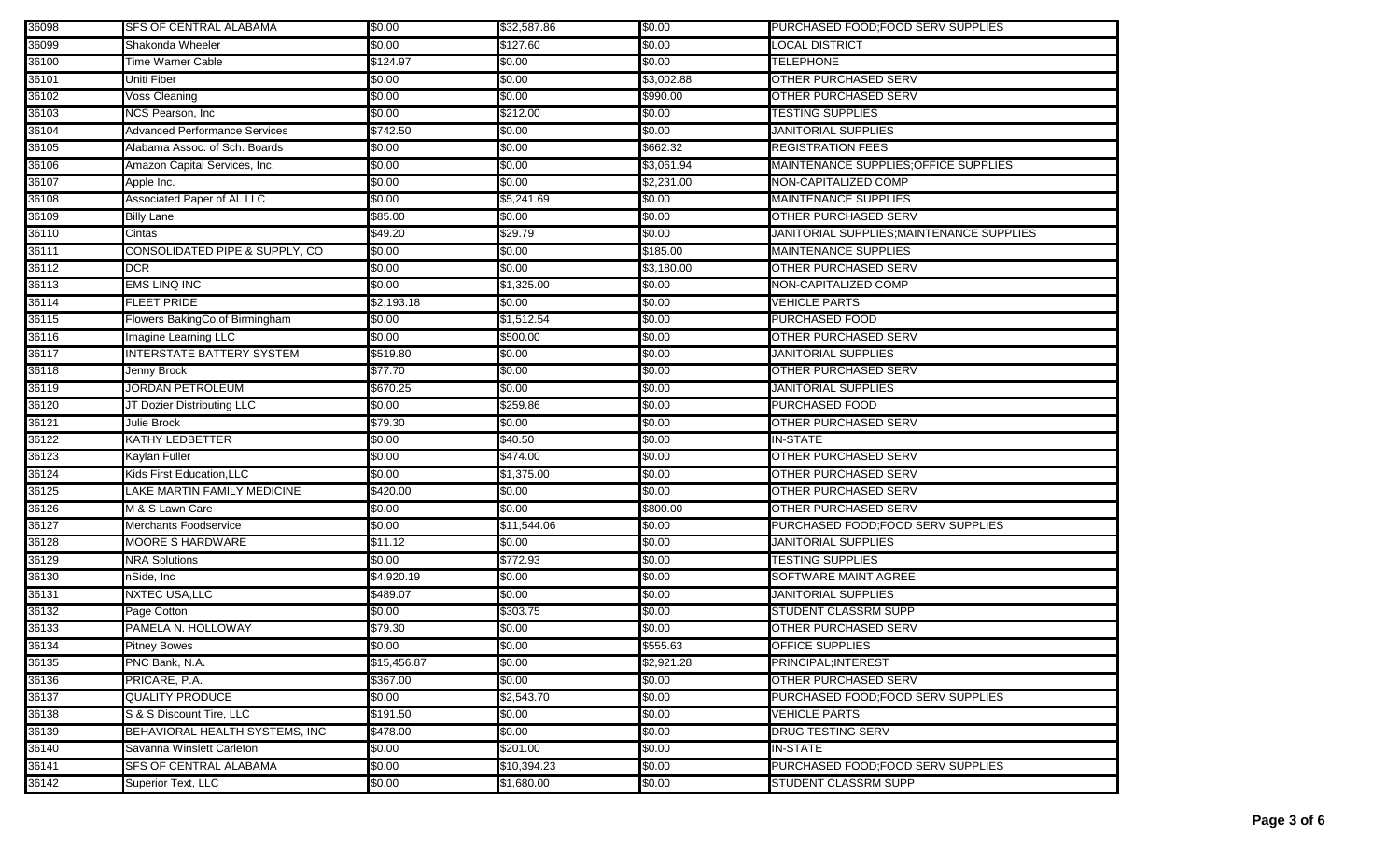| 36098 | <b>SFS OF CENTRAL ALABAMA</b>        | \$0.00      | \$32,587.86 | \$0.00     | PURCHASED FOOD; FOOD SERV SUPPLIES        |
|-------|--------------------------------------|-------------|-------------|------------|-------------------------------------------|
| 36099 | Shakonda Wheeler                     | \$0.00      | \$127.60    | \$0.00     | LOCAL DISTRICT                            |
| 36100 | <b>Time Warner Cable</b>             | \$124.97    | \$0.00      | \$0.00     | TELEPHONE                                 |
| 36101 | Uniti Fiber                          | \$0.00      | \$0.00      | \$3,002.88 | OTHER PURCHASED SERV                      |
| 36102 | Voss Cleaning                        | \$0.00      | \$0.00      | \$990.00   | OTHER PURCHASED SERV                      |
| 36103 | NCS Pearson, Inc                     | \$0.00      | \$212.00    | \$0.00     | <b>TESTING SUPPLIES</b>                   |
| 36104 | <b>Advanced Performance Services</b> | \$742.50    | \$0.00      | \$0.00     | JANITORIAL SUPPLIES                       |
| 36105 | Alabama Assoc. of Sch. Boards        | \$0.00      | \$0.00      | \$662.32   | <b>REGISTRATION FEES</b>                  |
| 36106 | Amazon Capital Services, Inc.        | \$0.00      | \$0.00      | \$3,061.94 | MAINTENANCE SUPPLIES; OFFICE SUPPLIES     |
| 36107 | Apple Inc.                           | \$0.00      | \$0.00      | \$2,231.00 | NON-CAPITALIZED COMP                      |
| 36108 | Associated Paper of Al. LLC          | \$0.00      | \$5,241.69  | \$0.00     | <b>MAINTENANCE SUPPLIES</b>               |
| 36109 | <b>Billy Lane</b>                    | \$85.00     | \$0.00      | \$0.00     | <b>OTHER PURCHASED SERV</b>               |
| 36110 | Cintas                               | \$49.20     | \$29.79     | \$0.00     | JANITORIAL SUPPLIES; MAINTENANCE SUPPLIES |
| 36111 | CONSOLIDATED PIPE & SUPPLY, CO       | \$0.00      | \$0.00      | \$185.00   | <b>MAINTENANCE SUPPLIES</b>               |
| 36112 | <b>DCR</b>                           | \$0.00      | \$0.00      | \$3,180.00 | <b>OTHER PURCHASED SERV</b>               |
| 36113 | <b>EMS LINQ INC</b>                  | \$0.00      | \$1,325.00  | \$0.00     | NON-CAPITALIZED COMP                      |
| 36114 | <b>FLEET PRIDE</b>                   | \$2,193.18  | \$0.00      | \$0.00     | <b>VEHICLE PARTS</b>                      |
| 36115 | Flowers BakingCo.of Birmingham       | \$0.00      | \$1,512.54  | \$0.00     | PURCHASED FOOD                            |
| 36116 | Imagine Learning LLC                 | \$0.00      | \$500.00    | \$0.00     | <b>OTHER PURCHASED SERV</b>               |
| 36117 | <b>INTERSTATE BATTERY SYSTEM</b>     | \$519.80    | \$0.00      | \$0.00     | <b>JANITORIAL SUPPLIES</b>                |
| 36118 | Jenny Brock                          | \$77.70     | \$0.00      | \$0.00     | <b>OTHER PURCHASED SERV</b>               |
| 36119 | <b>JORDAN PETROLEUM</b>              | \$670.25    | \$0.00      | \$0.00     | JANITORIAL SUPPLIES                       |
| 36120 | JT Dozier Distributing LLC           | \$0.00      | \$259.86    | \$0.00     | <b>PURCHASED FOOD</b>                     |
| 36121 | Julie Brock                          | \$79.30     | \$0.00      | \$0.00     | OTHER PURCHASED SERV                      |
| 36122 | <b>KATHY LEDBETTER</b>               | \$0.00      | \$40.50     | \$0.00     | <b>IN-STATE</b>                           |
| 36123 | Kaylan Fuller                        | \$0.00      | \$474.00    | \$0.00     | <b>OTHER PURCHASED SERV</b>               |
| 36124 | Kids First Education, LLC            | \$0.00      | \$1,375.00  | \$0.00     | <b>OTHER PURCHASED SERV</b>               |
| 36125 | LAKE MARTIN FAMILY MEDICINE          | \$420.00    | \$0.00      | \$0.00     | <b>OTHER PURCHASED SERV</b>               |
| 36126 | M & S Lawn Care                      | \$0.00      | \$0.00      | \$800.00   | <b>OTHER PURCHASED SERV</b>               |
| 36127 | <b>Merchants Foodservice</b>         | \$0.00      | \$11,544.06 | \$0.00     | PURCHASED FOOD; FOOD SERV SUPPLIES        |
| 36128 | <b>MOORE S HARDWARE</b>              | \$11.12     | \$0.00      | \$0.00     | <b>JANITORIAL SUPPLIES</b>                |
| 36129 | <b>NRA Solutions</b>                 | \$0.00      | \$772.93    | \$0.00     | TESTING SUPPLIES                          |
| 36130 | nSide, Inc                           | \$4,920.19  | \$0.00      | \$0.00     | SOFTWARE MAINT AGREE                      |
| 36131 | <b>NXTEC USA, LLC</b>                | \$489.07    | \$0.00      | \$0.00     | JANITORIAL SUPPLIES                       |
| 36132 | Page Cotton                          | \$0.00      | \$303.75    | \$0.00     | <b>STUDENT CLASSRM SUPP</b>               |
| 36133 | PAMELA N. HOLLOWAY                   | \$79.30     | \$0.00      | \$0.00     | <b>OTHER PURCHASED SERV</b>               |
| 36134 | <b>Pitney Bowes</b>                  | \$0.00      | \$0.00      | \$555.63   | OFFICE SUPPLIES                           |
| 36135 | PNC Bank, N.A.                       | \$15,456.87 | \$0.00      | \$2,921.28 | PRINCIPAL; INTEREST                       |
| 36136 | PRICARE, P.A.                        | \$367.00    | \$0.00      | \$0.00     | OTHER PURCHASED SERV                      |
| 36137 | <b>QUALITY PRODUCE</b>               | \$0.00      | \$2,543.70  | \$0.00     | PURCHASED FOOD; FOOD SERV SUPPLIES        |
| 36138 | S & S Discount Tire, LLC             | \$191.50    | \$0.00      | \$0.00     | <b>VEHICLE PARTS</b>                      |
| 36139 | BEHAVIORAL HEALTH SYSTEMS, INC       | \$478.00    | \$0.00      | \$0.00     | <b>DRUG TESTING SERV</b>                  |
| 36140 | Savanna Winslett Carleton            | \$0.00      | \$201.00    | \$0.00     | <b>IN-STATE</b>                           |
| 36141 | <b>SFS OF CENTRAL ALABAMA</b>        | \$0.00      | \$10,394.23 | \$0.00     | PURCHASED FOOD; FOOD SERV SUPPLIES        |
| 36142 | Superior Text, LLC                   | \$0.00      | \$1,680.00  | \$0.00     | <b>STUDENT CLASSRM SUPP</b>               |
|       |                                      |             |             |            |                                           |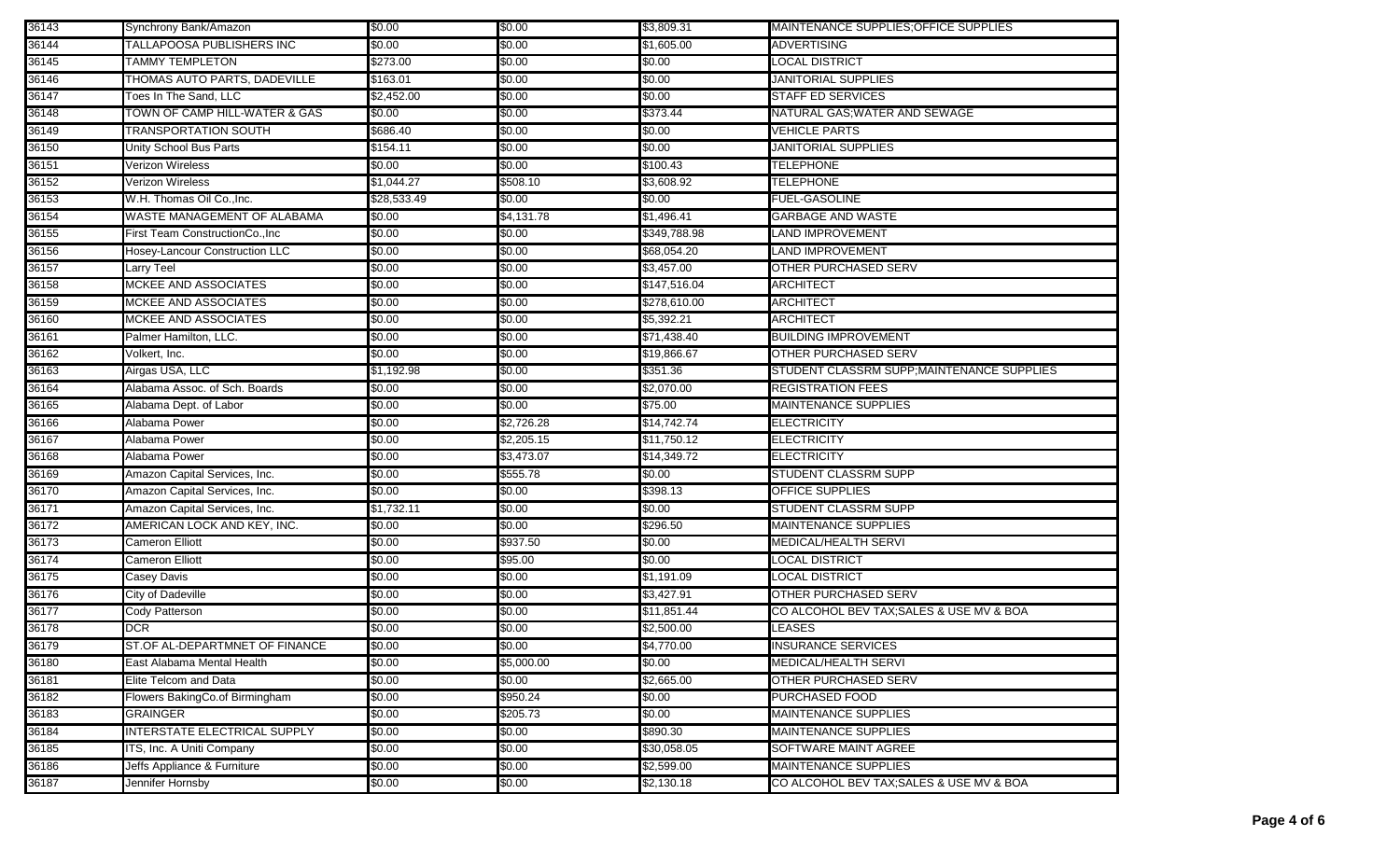| 36143 | Synchrony Bank/Amazon                 | \$0.00      | \$0.00     | \$3,809.31   | MAINTENANCE SUPPLIES: OF FICE SUPPLIES    |
|-------|---------------------------------------|-------------|------------|--------------|-------------------------------------------|
| 36144 | TALLAPOOSA PUBLISHERS INC             | \$0.00      | \$0.00     | \$1,605.00   | <b>ADVERTISING</b>                        |
| 36145 | <b>TAMMY TEMPLETON</b>                | \$273.00    | \$0.00     | \$0.00       | <b>LOCAL DISTRICT</b>                     |
| 36146 | THOMAS AUTO PARTS, DADEVILLE          | \$163.01    | \$0.00     | \$0.00       | <b>JANITORIAL SUPPLIES</b>                |
| 36147 | Toes In The Sand, LLC                 | \$2,452.00  | \$0.00     | \$0.00       | <b>STAFF ED SERVICES</b>                  |
| 36148 | TOWN OF CAMP HILL-WATER & GAS         | \$0.00      | \$0.00     | \$373.44     | NATURAL GAS;WATER AND SEWAGE              |
| 36149 | TRANSPORTATION SOUTH                  | \$686.40    | \$0.00     | \$0.00       | <b>VEHICLE PARTS</b>                      |
| 36150 | Unity School Bus Parts                | \$154.11    | \$0.00     | \$0.00       | <b>JANITORIAL SUPPLIES</b>                |
| 36151 | Verizon Wireless                      | \$0.00      | \$0.00     | \$100.43     | <b>TELEPHONE</b>                          |
| 36152 | <b>Verizon Wireless</b>               | \$1,044.27  | \$508.10   | \$3,608.92   | <b>TELEPHONE</b>                          |
| 36153 | W.H. Thomas Oil Co., Inc.             | \$28,533.49 | \$0.00     | \$0.00       | <b>FUEL-GASOLINE</b>                      |
| 36154 | WASTE MANAGEMENT OF ALABAMA           | \$0.00      | \$4,131.78 | \$1,496.41   | <b>GARBAGE AND WASTE</b>                  |
| 36155 | First Team ConstructionCo., Inc       | \$0.00      | \$0.00     | \$349,788.98 | LAND IMPROVEMENT                          |
| 36156 | <b>Hosey-Lancour Construction LLC</b> | \$0.00      | \$0.00     | \$68,054.20  | LAND IMPROVEMENT                          |
| 36157 | Larry Teel                            | \$0.00      | \$0.00     | \$3,457.00   | <b>OTHER PURCHASED SERV</b>               |
| 36158 | <b>MCKEE AND ASSOCIATES</b>           | \$0.00      | \$0.00     | \$147,516.04 | <b>ARCHITECT</b>                          |
| 36159 | <b>MCKEE AND ASSOCIATES</b>           | \$0.00      | \$0.00     | \$278,610.00 | ARCHITECT                                 |
| 36160 | <b>MCKEE AND ASSOCIATES</b>           | \$0.00      | \$0.00     | \$5,392.21   | <b>ARCHITECT</b>                          |
| 36161 | Palmer Hamilton, LLC.                 | \$0.00      | \$0.00     | \$71,438.40  | <b>BUILDING IMPROVEMENT</b>               |
| 36162 | Volkert, Inc.                         | \$0.00      | \$0.00     | \$19,866.67  | <b>OTHER PURCHASED SERV</b>               |
| 36163 | Airgas USA, LLC                       | \$1,192.98  | \$0.00     | \$351.36     | STUDENT CLASSRM SUPP;MAINTENANCE SUPPLIES |
| 36164 | Alabama Assoc. of Sch. Boards         | \$0.00      | \$0.00     | \$2,070.00   | <b>REGISTRATION FEES</b>                  |
| 36165 | Alabama Dept. of Labor                | \$0.00      | \$0.00     | \$75.00      | <b>MAINTENANCE SUPPLIES</b>               |
| 36166 | Alabama Power                         | \$0.00      | \$2,726.28 | \$14,742.74  | <b>ELECTRICITY</b>                        |
| 36167 | Alabama Power                         | \$0.00      | \$2,205.15 | \$11,750.12  | <b>ELECTRICITY</b>                        |
| 36168 | Alabama Power                         | \$0.00      | \$3,473.07 | \$14,349.72  | <b>ELECTRICITY</b>                        |
| 36169 | Amazon Capital Services, Inc.         | \$0.00      | \$555.78   | \$0.00       | <b>STUDENT CLASSRM SUPP</b>               |
| 36170 | Amazon Capital Services, Inc.         | \$0.00      | \$0.00     | \$398.13     | <b>OFFICE SUPPLIES</b>                    |
| 36171 | Amazon Capital Services, Inc.         | \$1,732.11  | \$0.00     | \$0.00       | STUDENT CLASSRM SUPP                      |
| 36172 | AMERICAN LOCK AND KEY, INC.           | \$0.00      | \$0.00     | \$296.50     | <b>MAINTENANCE SUPPLIES</b>               |
| 36173 | <b>Cameron Elliott</b>                | \$0.00      | \$937.50   | \$0.00       | MEDICAL/HEALTH SERVI                      |
| 36174 | <b>Cameron Elliott</b>                | \$0.00      | \$95.00    | \$0.00       | LOCAL DISTRICT                            |
| 36175 | Casey Davis                           | \$0.00      | \$0.00     | \$1,191.09   | LOCAL DISTRICT                            |
| 36176 | City of Dadeville                     | \$0.00      | \$0.00     | \$3,427.91   | <b>OTHER PURCHASED SERV</b>               |
| 36177 | Cody Patterson                        | \$0.00      | \$0.00     | \$11,851.44  | CO ALCOHOL BEV TAX;SALES & USE MV & BOA   |
| 36178 | <b>DCR</b>                            | \$0.00      | \$0.00     | \$2,500.00   | LEASES                                    |
| 36179 | ST.OF AL-DEPARTMNET OF FINANCE        | \$0.00      | \$0.00     | \$4,770.00   | INSURANCE SERVICES                        |
| 36180 | East Alabama Mental Health            | \$0.00      | \$5,000.00 | \$0.00       | MEDICAL/HEALTH SERVI                      |
| 36181 | Elite Telcom and Data                 | \$0.00      | \$0.00     | \$2,665.00   | <b>OTHER PURCHASED SERV</b>               |
| 36182 | Flowers BakingCo.of Birmingham        | \$0.00      | \$950.24   | \$0.00       | PURCHASED FOOD                            |
| 36183 | <b>GRAINGER</b>                       | \$0.00      | \$205.73   | \$0.00       | <b>MAINTENANCE SUPPLIES</b>               |
| 36184 | INTERSTATE ELECTRICAL SUPPLY          | \$0.00      | \$0.00     | \$890.30     | <b>MAINTENANCE SUPPLIES</b>               |
| 36185 | ITS, Inc. A Uniti Company             | \$0.00      | \$0.00     | \$30,058.05  | <b>SOFTWARE MAINT AGREE</b>               |
| 36186 | Jeffs Appliance & Furniture           | \$0.00      | \$0.00     | \$2,599.00   | <b>MAINTENANCE SUPPLIES</b>               |
| 36187 | Jennifer Hornsby                      | \$0.00      | \$0.00     | \$2,130.18   | CO ALCOHOL BEV TAX; SALES & USE MV & BOA  |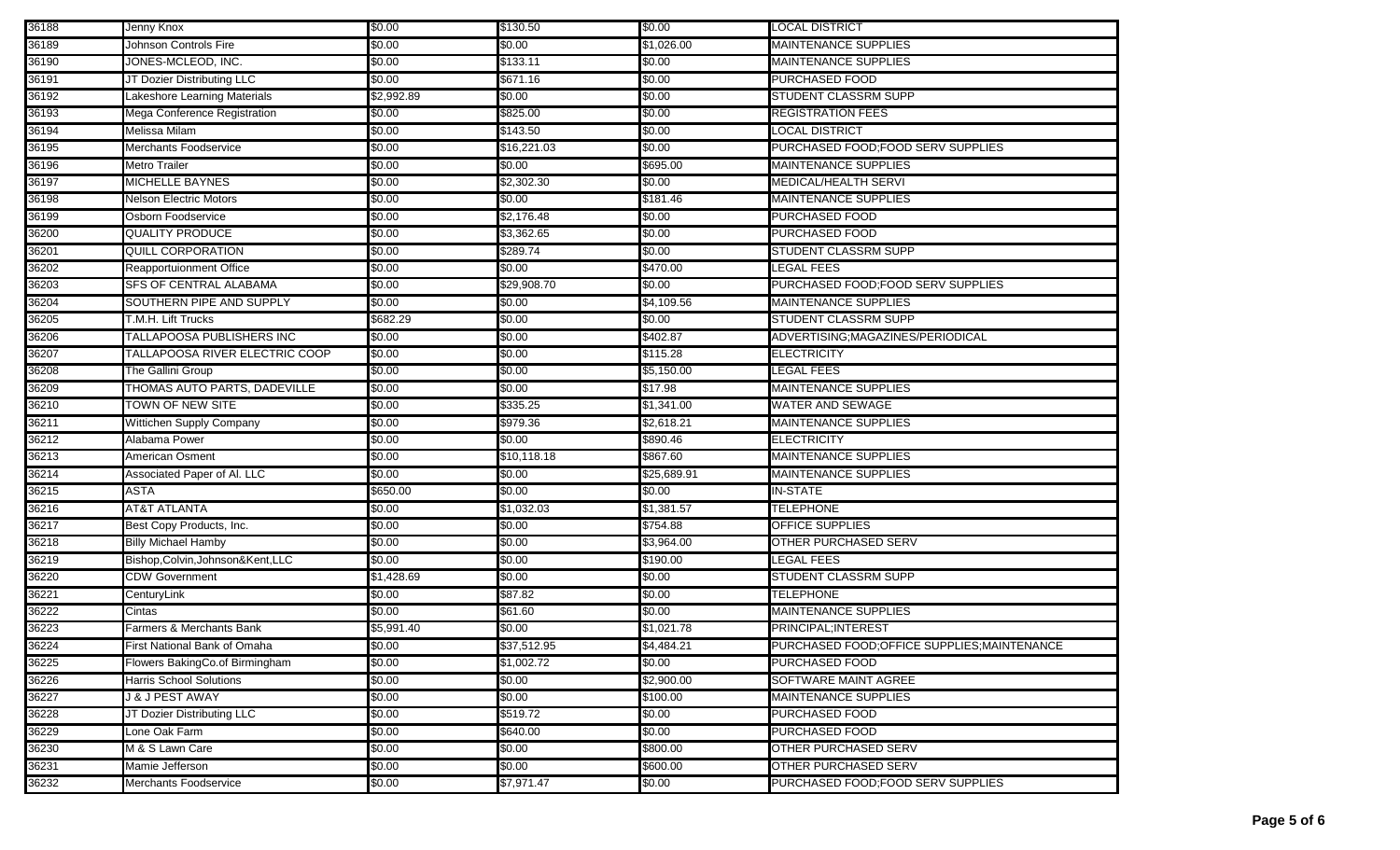| 36188 | Jenny Knox                        | \$0.00     | \$130.50    | \$0.00      | <b>LOCAL DISTRICT</b>                      |
|-------|-----------------------------------|------------|-------------|-------------|--------------------------------------------|
| 36189 | Johnson Controls Fire             | \$0.00     | \$0.00      | \$1,026.00  | <b>MAINTENANCE SUPPLIES</b>                |
| 36190 | JONES-MCLEOD, INC.                | \$0.00     | \$133.11    | \$0.00      | <b>MAINTENANCE SUPPLIES</b>                |
| 36191 | JT Dozier Distributing LLC        | \$0.00     | \$671.16    | \$0.00      | <b>PURCHASED FOOD</b>                      |
| 36192 | Lakeshore Learning Materials      | \$2,992.89 | \$0.00      | \$0.00      | <b>STUDENT CLASSRM SUPP</b>                |
| 36193 | Mega Conference Registration      | \$0.00     | \$825.00    | \$0.00      | <b>REGISTRATION FEES</b>                   |
| 36194 | Melissa Milam                     | \$0.00     | \$143.50    | \$0.00      | <b>LOCAL DISTRICT</b>                      |
| 36195 | Merchants Foodservice             | \$0.00     | \$16,221.03 | \$0.00      | PURCHASED FOOD; FOOD SERV SUPPLIES         |
| 36196 | <b>Metro Trailer</b>              | \$0.00     | \$0.00      | \$695.00    | <b>MAINTENANCE SUPPLIES</b>                |
| 36197 | <b>MICHELLE BAYNES</b>            | \$0.00     | \$2,302.30  | \$0.00      | <b>MEDICAL/HEALTH SERVI</b>                |
| 36198 | <b>Nelson Electric Motors</b>     | \$0.00     | \$0.00      | \$181.46    | <b>MAINTENANCE SUPPLIES</b>                |
| 36199 | Osborn Foodservice                | \$0.00     | \$2,176.48  | \$0.00      | <b>PURCHASED FOOD</b>                      |
| 36200 | <b>QUALITY PRODUCE</b>            | \$0.00     | \$3,362.65  | \$0.00      | <b>PURCHASED FOOD</b>                      |
| 36201 | <b>QUILL CORPORATION</b>          | \$0.00     | \$289.74    | \$0.00      | STUDENT CLASSRM SUPP                       |
| 36202 | Reapportuionment Office           | \$0.00     | \$0.00      | \$470.00    | LEGAL FEES                                 |
| 36203 | SFS OF CENTRAL ALABAMA            | \$0.00     | \$29,908.70 | \$0.00      | PURCHASED FOOD; FOOD SERV SUPPLIES         |
| 36204 | SOUTHERN PIPE AND SUPPLY          | \$0.00     | \$0.00      | \$4,109.56  | MAINTENANCE SUPPLIES                       |
| 36205 | T.M.H. Lift Trucks                | \$682.29   | \$0.00      | \$0.00      | <b>STUDENT CLASSRM SUPP</b>                |
| 36206 | TALLAPOOSA PUBLISHERS INC         | \$0.00     | \$0.00      | \$402.87    | ADVERTISING;MAGAZINES/PERIODICAL           |
| 36207 | TALLAPOOSA RIVER ELECTRIC COOP    | \$0.00     | \$0.00      | \$115.28    | <b>ELECTRICITY</b>                         |
| 36208 | The Gallini Group                 | \$0.00     | \$0.00      | \$5,150.00  | LEGAL FEES                                 |
| 36209 | THOMAS AUTO PARTS, DADEVILLE      | \$0.00     | \$0.00      | \$17.98     | <b>MAINTENANCE SUPPLIES</b>                |
| 36210 | <b>TOWN OF NEW SITE</b>           | \$0.00     | \$335.25    | \$1,341.00  | <b>WATER AND SEWAGE</b>                    |
| 36211 | Wittichen Supply Company          | \$0.00     | \$979.36    | \$2,618.21  | <b>MAINTENANCE SUPPLIES</b>                |
| 36212 | Alabama Power                     | \$0.00     | \$0.00      | \$890.46    | <b>ELECTRICITY</b>                         |
| 36213 | <b>American Osment</b>            | \$0.00     | \$10,118.18 | \$867.60    | <b>MAINTENANCE SUPPLIES</b>                |
| 36214 | Associated Paper of Al. LLC       | \$0.00     | \$0.00      | \$25,689.91 | MAINTENANCE SUPPLIES                       |
| 36215 | <b>ASTA</b>                       | \$650.00   | \$0.00      | \$0.00      | <b>IN-STATE</b>                            |
| 36216 | <b>AT&amp;T ATLANTA</b>           | \$0.00     | \$1,032.03  | \$1,381.57  | <b>TELEPHONE</b>                           |
| 36217 | Best Copy Products, Inc.          | \$0.00     | \$0.00      | \$754.88    | <b>OFFICE SUPPLIES</b>                     |
| 36218 | <b>Billy Michael Hamby</b>        | \$0.00     | \$0.00      | \$3,964.00  | <b>OTHER PURCHASED SERV</b>                |
| 36219 | Bishop, Colvin, Johnson&Kent, LLC | \$0.00     | \$0.00      | \$190.00    | LEGAL FEES                                 |
| 36220 | <b>CDW Government</b>             | \$1,428.69 | \$0.00      | \$0.00      | <b>STUDENT CLASSRM SUPP</b>                |
| 36221 | CenturyLink                       | \$0.00     | \$87.82     | \$0.00      | TELEPHONE                                  |
| 36222 | Cintas                            | \$0.00     | \$61.60     | \$0.00      | <b>MAINTENANCE SUPPLIES</b>                |
| 36223 | Farmers & Merchants Bank          | \$5,991.40 | \$0.00      | \$1,021.78  | PRINCIPAL; INTEREST                        |
| 36224 | First National Bank of Omaha      | \$0.00     | \$37,512.95 | \$4,484.21  | PURCHASED FOOD;OFFICE SUPPLIES;MAINTENANCE |
| 36225 | Flowers BakingCo.of Birmingham    | \$0.00     | \$1,002.72  | \$0.00      | <b>PURCHASED FOOD</b>                      |
| 36226 | Harris School Solutions           | \$0.00     | \$0.00      | \$2,900.00  | SOFTWARE MAINT AGREE                       |
| 36227 | <b>J &amp; J PEST AWAY</b>        | \$0.00     | \$0.00      | \$100.00    | <b>MAINTENANCE SUPPLIES</b>                |
| 36228 | JT Dozier Distributing LLC        | \$0.00     | \$519.72    | \$0.00      | PURCHASED FOOD                             |
| 36229 | Lone Oak Farm                     | \$0.00     | \$640.00    | \$0.00      | <b>PURCHASED FOOD</b>                      |
| 36230 | M & S Lawn Care                   | \$0.00     | \$0.00      | \$800.00    | <b>OTHER PURCHASED SERV</b>                |
| 36231 | Mamie Jefferson                   | \$0.00     | \$0.00      | \$600.00    | OTHER PURCHASED SERV                       |
| 36232 | Merchants Foodservice             | \$0.00     | \$7,971.47  | \$0.00      | PURCHASED FOOD; FOOD SERV SUPPLIES         |
|       |                                   |            |             |             |                                            |